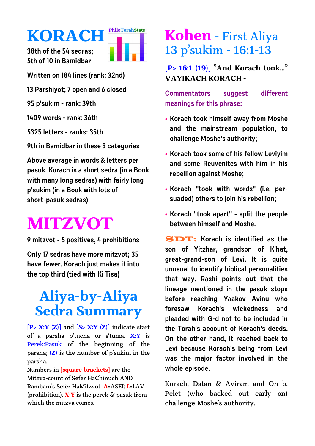## **KORACH**



**38th of the 54 sedras; 5th of 10 in Bamidbar**

**Written on 184 lines (rank: 32nd)**

**13 Parshiyot; 7 open and 6 closed**

**95 p'sukim - rank: 39th**

**1409 words - rank: 36th**

**5325 letters - ranks: 35th**

**9th in Bamidbar in these 3 categories**

**Above average in words & letters per pasuk. Korach is a short sedra (in a Book with many long sedras) with fairly long p'sukim (in a Book with lots of short-pasuk sedras)**

# **MITZVOT**

**9 mitzvot - 5 positives, 4 prohibitions**

**Only 17 sedras have more mitzvot; 35 have fewer. Korach just makes it into the top third (tied with Ki Tisa)**

### **Aliya-by-Aliya Sedra Summary**

 $[P> X:Y (Z)]$  and  $[S> X:Y (Z)]$  indicate start of a parsha p'tucha or s'tuma. **X:Y** is Perek:Pasuk of the beginning of the parsha; **(Z)** is the number of p'sukim in the parsha.

Numbers in **[square brackets]** are the Mitzva-count of Sefer HaChinuch AND Rambam's Sefer HaMitzvot. **A**=ASEI; **L**=LAV (prohibition). **X:Y** is the perek & pasuk from which the mitzva comes.

#### **Kohen** - First Aliya 13 p'sukim - 16:1-13

**[P> 16:1 (19)] "And Korach took..." VAYIKACH KORACH -**

**Commentators suggest different meanings for this phrase:**

- **Korach took himself away from Moshe • and the mainstream population, to challenge Moshe's authority;**
- **Korach took some of his fellow Leviyim • and some Reuvenites with him in his rebellion against Moshe;**
- **Korach "took with words" (i.e. per-• suaded) others to join his rebellion;**
- **Korach "took apart" split the people •between himself and Moshe.**

SDT: **Korach is identified as the son of Yitzhar, grandson of K'hat, great-grand-son of Levi. It is quite unusual to identify biblical personalities that way. Rashi points out that the lineage mentioned in the pasuk stops before reaching Yaakov Avinu who foresaw Korach's wickedness and pleaded with G-d not to be included in the Torah's account of Korach's deeds. On the other hand, it reached back to Levi because Korach's being from Levi was the major factor involved in the whole episode.**

Korach, Datan & Aviram and On b. Pelet (who backed out early on) challenge Moshe's authority.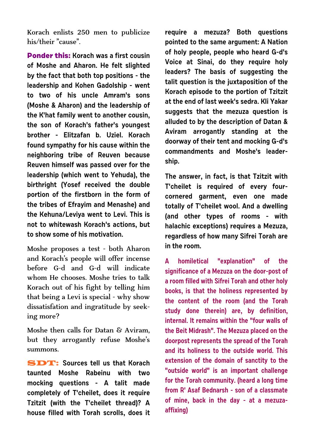Korach enlists 250 men to publicize his/their "cause".

**Ponder this: Korach was a first cousin of Moshe and Aharon. He felt slighted by the fact that both top positions - the leadership and Kohen Gadolship - went to two of his uncle Amram's sons (Moshe & Aharon) and the leadership of the K'hat family went to another cousin, the son of Korach's father's youngest brother - Elitzafan b. Uziel. Korach found sympathy for his cause within the neighboring tribe of Reuven because Reuven himself was passed over for the leadership (which went to Yehuda), the birthright (Yosef received the double portion of the firstborn in the form of the tribes of Efrayim and Menashe) and the Kehuna/Leviya went to Levi. This is not to whitewash Korach's actions, but to show some of his motivation.**

Moshe proposes a test - both Aharon and Korach's people will offer incense before G-d and G-d will indicate whom He chooses. Moshe tries to talk Korach out of his fight by telling him that being a Levi is special - why show dissatisfation and ingratitude by seeking more?

Moshe then calls for Datan & Aviram, but they arrogantly refuse Moshe's summons.

SDT: **Sources tell us that Korach taunted Moshe Rabeinu with two mocking questions - A talit made completely of T'cheilet, does it require Tzitzit (with the T'cheilet thread)? A house filled with Torah scrolls, does it** **require a mezuza? Both questions pointed to the same argument: A Nation of holy people, people who heard G-d's Voice at Sinai, do they require holy leaders? The basis of suggesting the talit question is the juxtaposition of the Korach episode to the portion of Tzitzit at the end of last week's sedra. Kli Yakar suggests that the mezuza question is alluded to by the description of Datan & Aviram arrogantly standing at the doorway of their tent and mocking G-d's commandments and Moshe's leadership.** 

**The answer, in fact, is that Tzitzit with T'cheilet is required of every fourcornered garment, even one made totally of T'cheilet wool. And a dwelling (and other types of rooms - with halachic exceptions) requires a Mezuza, regardless of how many Sifrei Torah are in the room.**

**A homiletical "explanation" of the significance of a Mezuza on the door-post of a room filled with Sifrei Torah and other holy books, is that the holiness represented by the content of the room (and the Torah study done therein) are, by definition, internal. It remains within the "four walls of the Beit Midrash". The Mezuza placed on the doorpost represents the spread of the Torah and its holiness to the outside world. This extension of the domain of sanctity to the "outside world" is an important challenge for the Torah community. (heard a long time from R' Asaf Bednarsh - son of a classmate of mine, back in the day - at a mezuzaaffixing)**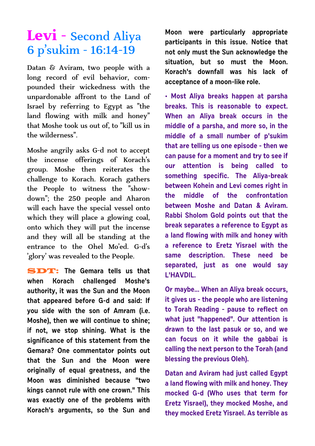#### **Levi -** Second Aliya 6 p'sukim - 16:14-19

Datan & Aviram, two people with a long record of evil behavior, compounded their wickedness with the unpardonable affront to the Land of Israel by referring to Egypt as "the land flowing with milk and honey" that Moshe took us out of, to "kill us in the wilderness".

Moshe angrily asks G-d not to accept the incense offerings of Korach's group. Moshe then reiterates the challenge to Korach. Korach gathers the People to witness the "showdown"; the 250 people and Aharon will each have the special vessel onto which they will place a glowing coal, onto which they will put the incense and they will all be standing at the entrance to the Ohel Mo'ed. G-d's 'glory' was revealed to the People.

SDT: **The Gemara tells us that when Korach challenged Moshe's authority, it was the Sun and the Moon that appeared before G-d and said: If you side with the son of Amram (i.e. Moshe), then we will continue to shine; if not, we stop shining. What is the significance of this statement from the Gemara? One commentator points out that the Sun and the Moon were originally of equal greatness, and the Moon was diminished because "two kings cannot rule with one crown." This was exactly one of the problems with Korach's arguments, so the Sun and** **Moon were particularly appropriate participants in this issue. Notice that not only must the Sun acknowledge the situation, but so must the Moon. Korach's downfall was his lack of acceptance of a moon-like role.**

**• Most Aliya breaks happen at parsha breaks. This is reasonable to expect. When an Aliya break occurs in the middle of a parsha, and more so, in the middle of a small number of p'sukim that are telling us one episode - then we can pause for a moment and try to see if our attention is being called to something specific. The Aliya-break between Kohein and Levi comes right in the middle of the confrontation between Moshe and Datan & Aviram. Rabbi Sholom Gold points out that the break separates a reference to Egypt as a land flowing with milk and honey with a reference to Eretz Yisrael with the same description. These need be separated, just as one would say L'HAVDIL.**

**Or maybe... When an Aliya break occurs, it gives us - the people who are listening to Torah Reading - pause to reflect on what just "happened". Our attention is drawn to the last pasuk or so, and we can focus on it while the gabbai is calling the next person to the Torah (and blessing the previous Oleh).** 

**Datan and Aviram had just called Egypt a land flowing with milk and honey. They mocked G-d (Who uses that term for Eretz Yisrael), they mocked Moshe, and they mocked Eretz Yisrael. As terrible as**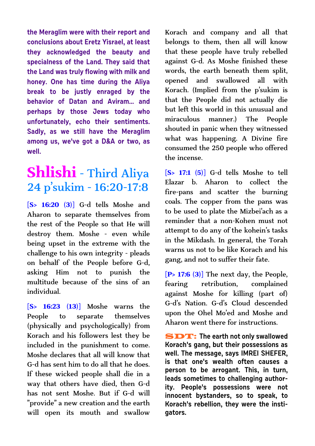**the Meraglim were with their report and conclusions about Eretz Yisrael, at least they acknowledged the beauty and specialness of the Land. They said that the Land was truly flowing with milk and honey. One has time during the Aliya break to be justly enraged by the behavior of Datan and Aviram... and perhaps by those Jews today who unfortunately, echo their sentiments. Sadly, as we still have the Meraglim among us, we've got a D&A or two, as well.**

#### **Shlishi** - Third Aliya 24 p'sukim - 16:20-17:8

**[S> 16:20 (3)]** G-d tells Moshe and Aharon to separate themselves from the rest of the People so that He will destroy them. Moshe - even while being upset in the extreme with the challenge to his own integrity - pleads on behalf of the People before G-d, asking Him not to punish the multitude because of the sins of an individual.

**[S> 16:23 (13)]** Moshe warns the People to separate themselves (physically and psychologically) from Korach and his followers lest they be included in the punishment to come. Moshe declares that all will know that G-d has sent him to do all that he does. If these wicked people shall die in a way that others have died, then G-d has not sent Moshe. But if G-d will "provide" a new creation and the earth will open its mouth and swallow

Korach and company and all that belongs to them, then all will know that these people have truly rebelled against G-d. As Moshe finished these words, the earth beneath them split, opened and swallowed all with Korach. (Implied from the p'sukim is that the People did not actually die but left this world in this unusual and miraculous manner.) The People shouted in panic when they witnessed what was happening. A Divine fire consumed the 250 people who offered the incense.

**[S> 17:1 (5)]** G-d tells Moshe to tell Elazar b. Aharon to collect the fire-pans and scatter the burning coals. The copper from the pans was to be used to plate the Mizbei'ach as a reminder that a non-Kohen must not attempt to do any of the kohein's tasks in the Mikdash. In general, the Torah warns us not to be like Korach and his gang, and not to suffer their fate.

**[P> 17:6 (3)]** The next day, the People, fearing retribution, complained against Moshe for killing (part of) G-d's Nation. G-d's Cloud descended upon the Ohel Mo'ed and Moshe and Aharon went there for instructions.

SDT: **The earth not only swallowed Korach's gang, but their possessions as well. The message, says IMREI SHEFER, is that one's wealth often causes a person to be arrogant. This, in turn, leads sometimes to challenging authority. People's possessions were not innocent bystanders, so to speak, to Korach's rebellion, they were the instigators.**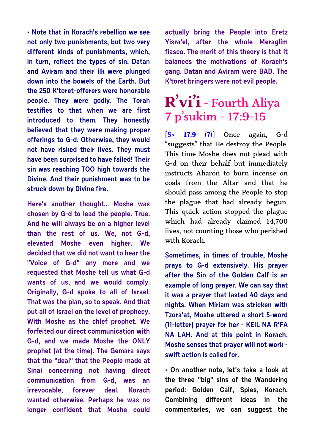**• Note that in Korach's rebellion we see not only two punishments, but two very different kinds of punishments, which, in turn, reflect the types of sin. Datan and Aviram and their ilk were plunged down into the bowels of the Earth. But the 250 K'toret-offerers were honorable people. They were godly. The Torah testifies to that when we are first introduced to them. They honestly believed that they were making proper offerings to G-d. Otherwise, they would not have risked their lives. They must have been surprised to have failed! Their sin was reaching TOO high towards the Divine. And their punishment was to be struck down by Divine fire.**

**Here's another thought... Moshe was chosen by G-d to lead the people. True. And he will always be on a higher level than the rest of us. We, not G-d, elevated Moshe even higher. We decided that we did not want to hear the "Voice of G-d" any more and we requested that Moshe tell us what G-d wants of us, and we would comply. Originally, G-d spoke to all of Israel. That was the plan, so to speak. And that put all of Israel on the level of prophecy. With Moshe as the chief prophet. We forfeited our direct communication with G-d, and we made Moshe the ONLY prophet (at the time). The Gemara says that the "deal" that the People made at Sinai concerning not having direct communication from G-d, was an irrevocable, forever deal. Korach wanted otherwise. Perhaps he was no longer confident that Moshe could** **actually bring the People into Eretz Yisra'el, after the whole Meraglim fiasco. The merit of this theory is that it balances the motivations of Korach's gang. Datan and Aviram were BAD. The K'toret bringers were not evil people.**

#### **R'vi'i** - Fourth Aliya 7 p'sukim - 17:9-15

**[S> 17:9 (7)]** Once again, G-d "suggests" that He destroy the People. This time Moshe does not plead with G-d on their behalf but immediately instructs Aharon to burn incense on coals from the Altar and that he should pass among the People to stop the plague that had already begun. This quick action stopped the plague which had already claimed 14,700 lives, not counting those who perished with Korach.

**Sometimes, in times of trouble, Moshe prays to G-d extensively. His prayer after the Sin of the Golden Calf is an example of long prayer. We can say that it was a prayer that lasted 40 days and nights. When Miriam was stricken with Tzora'at, Moshe uttered a short 5-word (11-letter) prayer for her - KEIL NA R'FA NA LAH. And at this point in Korach, Moshe senses that prayer will not work swift action is called for.**

**• On another note, let's take a look at the three "big" sins of the Wandering period: Golden Calf, Spies, Korach. Combining different ideas in the commentaries, we can suggest the**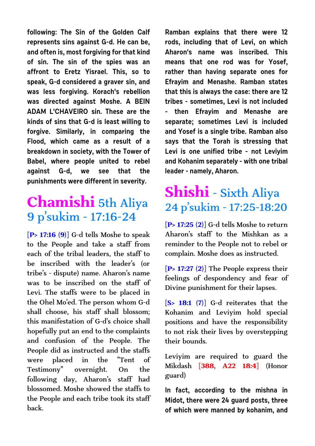**following: The Sin of the Golden Calf represents sins against G-d. He can be, and often is, most forgiving for that kind of sin. The sin of the spies was an affront to Eretz Yisrael. This, so to speak, G-d considered a graver sin, and was less forgiving. Korach's rebellion was directed against Moshe. A BEIN ADAM L'CHAVEIRO sin. These are the kinds of sins that G-d is least willing to forgive. Similarly, in comparing the Flood, which came as a result of a breakdown in society, with the Tower of Babel, where people united to rebel against G-d, we see that the punishments were different in severity.**

#### **Chamishi** 5th Aliya 9 p'sukim - 17:16-24

**[P> 17:16 (9)]** G-d tells Moshe to speak to the People and take a staff from each of the tribal leaders, the staff to be inscribed with the leader's (or tribe's - dispute) name. Aharon's name was to be inscribed on the staff of Levi. The staffs were to be placed in the Ohel Mo'ed. The person whom G-d shall choose, his staff shall blossom; this manifestation of G-d's choice shall hopefully put an end to the complaints and confusion of the People. The People did as instructed and the staffs were placed in the "Tent of Testimony" overnight. On the following day, Aharon's staff had blossomed. Moshe showed the staffs to the People and each tribe took its staff back.

**Ramban explains that there were 12 rods, including that of Levi, on which Aharon's name was inscribed. This means that one rod was for Yosef, rather than having separate ones for Efrayim and Menashe. Ramban states that this is always the case: there are 12 tribes - sometimes, Levi is not included - then Efrayim and Menashe are separate; sometimes Levi is included and Yosef is a single tribe. Ramban also says that the Torah is stressing that Levi is one unified tribe - not Leviyim and Kohanim separately - with one tribal leader - namely, Aharon.**

#### **Shishi** - Sixth Aliya 24 p'sukim - 17:25-18:20

**[P> 17:25 (2)]** G-d tells Moshe to return Aharon's staff to the Mishkan as a reminder to the People not to rebel or complain. Moshe does as instructed.

**[P> 17:27 (2)]** The People express their feelings of despondency and fear of Divine punishment for their lapses.

**[S> 18:1 (7)]** G-d reiterates that the Kohanim and Leviyim hold special positions and have the responsibility to not risk their lives by overstepping their bounds.

Leviyim are required to guard the Mikdash **[388, A22 18:4]** (Honor guard)

**In fact, according to the mishna in Midot, there were 24 guard posts, three of which were manned by kohanim, and**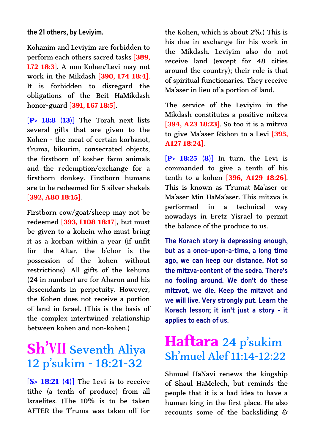**the 21 others, by Leviyim.** 

Kohanim and Leviyim are forbidden to perform each others sacred tasks **[389, L72 18:3]**. A non-Kohen/Levi may not work in the Mikdash **[390, L74 18:4]**. It is forbidden to disregard the obligations of the Beit HaMikdash honor-guard **[391, L67 18:5]**.

**[P> 18:8 (13)]** The Torah next lists several gifts that are given to the Kohen - the meat of certain korbanot, t'ruma, bikurim, consecrated objects, the firstborn of kosher farm animals and the redemption/exchange for a firstborn donkey. Firstborn humans are to be redeemed for 5 silver shekels **[392, A80 18:15]**.

Firstborn cow/goat/sheep may not be redeemed **[393, L108 18:17]**, but must be given to a kohein who must bring it as a korban within a year (if unfit for the Altar, the b'chor is the possession of the kohen without restrictions). All gifts of the kehuna (24 in number) are for Aharon and his descendants in perpetuity. However, the Kohen does not receive a portion of land in Israel. (This is the basis of the complex intertwined relationship between kohen and non-kohen.)

#### **Sh'VII** Seventh Aliya 12 p'sukim - 18:21-32

**[S> 18:21 (4)]** The Levi is to receive tithe (a tenth of produce) from all Israelites. (The 10% is to be taken AFTER the T'ruma was taken off for

the Kohen, which is about 2%.) This is his due in exchange for his work in the Mikdash. Leviyim also do not receive land (except for 48 cities around the country); their role is that of spiritual functionaries. They receive Ma'aser in lieu of a portion of land.

The service of the Leviyim in the Mikdash constitutes a positive mitzva **[394, A23 18:23]**. So too it is a mitzva to give Ma'aser Rishon to a Levi **[395, A127 18:24]**.

**[P> 18:25 (8)]** In turn, the Levi is commanded to give a tenth of his tenth to a kohen **[396, A129 18:26]**. This is known as T'rumat Ma'aser or Ma'aser Min HaMa'aser. This mitzva is performed in a technical way nowadays in Eretz Yisrael to permit the balance of the produce to us.

**The Korach story is depressing enough, but as a once-upon-a-time, a long time ago, we can keep our distance. Not so the mitzva-content of the sedra. There's no fooling around. We don't do these mitzvot, we die. Keep the mitzvot and we will live. Very strongly put. Learn the Korach lesson; it isn't just a story - it applies to each of us.**

#### **Haftara** 24 p'sukim Sh'muel Alef 11:14-12:22

Shmuel HaNavi renews the kingship of Shaul HaMelech, but reminds the people that it is a bad idea to have a human king in the first place. He also recounts some of the backsliding &